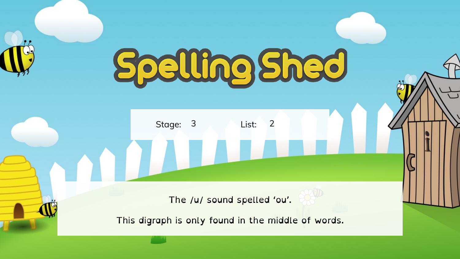## Spelling Shed

Stage: 3 List:

**ODL** 

The /u/ sound spelled 'ou'.

This digraph is only found in the middle of words.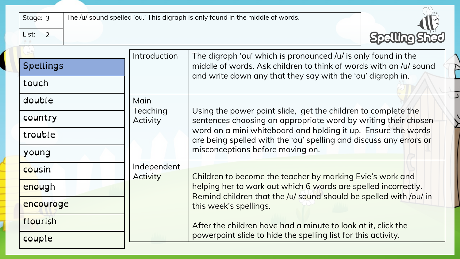| Stage: 3<br>List:<br>$\overline{2}$ |                                                                                                                                                                                                                  | The /u/ sound spelled 'ou.' This digraph is only found in the middle of words.                                                                                                                                                                                         |  |
|-------------------------------------|------------------------------------------------------------------------------------------------------------------------------------------------------------------------------------------------------------------|------------------------------------------------------------------------------------------------------------------------------------------------------------------------------------------------------------------------------------------------------------------------|--|
| <b>Spellings</b>                    | Introduction<br>The digraph 'ou' which is pronounced /u/ is only found in the<br>middle of words. Ask children to think of words with an /u/ sound<br>and write down any that they say with the 'ou' digraph in. |                                                                                                                                                                                                                                                                        |  |
| touch<br>double                     | Main                                                                                                                                                                                                             |                                                                                                                                                                                                                                                                        |  |
| country<br>trouble                  | Teaching<br>Activity                                                                                                                                                                                             | Using the power point slide, get the children to complete the<br>sentences choosing an appropriate word by writing their chosen<br>word on a mini whiteboard and holding it up. Ensure the words<br>are being spelled with the 'ou' spelling and discuss any errors or |  |
| young                               | Independent                                                                                                                                                                                                      | misconceptions before moving on.                                                                                                                                                                                                                                       |  |
| cousin<br>enough                    | <b>Activity</b>                                                                                                                                                                                                  | Children to become the teacher by marking Evie's work and<br>helping her to work out which 6 words are spelled incorrectly.<br>Remind children that the /u/ sound should be spelled with /ou/ in                                                                       |  |
| encourage<br>flourish               |                                                                                                                                                                                                                  | this week's spellings.<br>After the children have had a minute to look at it, click the                                                                                                                                                                                |  |
| couple                              |                                                                                                                                                                                                                  | powerpoint slide to hide the spelling list for this activity.                                                                                                                                                                                                          |  |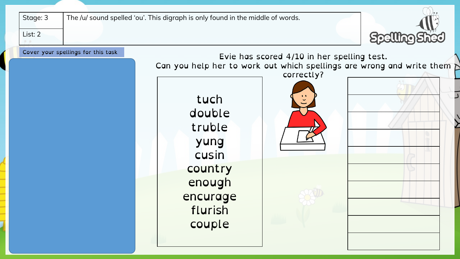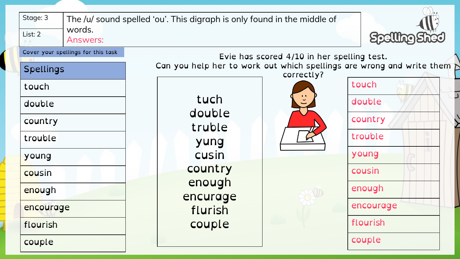| Stage: 3<br>words.<br>List: 2<br><b>Answers:</b>       | The /u/ sound spelled 'ou'. This digraph is only found in the middle of |                                                                                                                                   |
|--------------------------------------------------------|-------------------------------------------------------------------------|-----------------------------------------------------------------------------------------------------------------------------------|
| Cover your spellings for this task<br><b>Spellings</b> |                                                                         | Evie has scored 4/10 in her spelling test.<br>Can you help her to work out which spellings are wrong and write them<br>correctly? |
| touch                                                  |                                                                         | touch                                                                                                                             |
| double                                                 | tuch<br>double                                                          | double                                                                                                                            |
| country                                                | truble                                                                  | country                                                                                                                           |
| trouble                                                | yung                                                                    | trouble                                                                                                                           |
| young                                                  | cusin                                                                   | young                                                                                                                             |
| cousin                                                 | country                                                                 | cousin                                                                                                                            |
| enough                                                 | enough<br>encurage                                                      | enough                                                                                                                            |
| encourage                                              | flurish                                                                 | encourage                                                                                                                         |
| flourish                                               | couple                                                                  | flourish                                                                                                                          |
| couple                                                 |                                                                         | couple                                                                                                                            |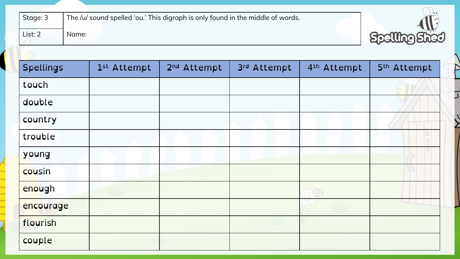| Stage: 3<br>List: 2<br>Name: | The /u/ sound spelled 'ou.' This digraph is only found in the middle of words. |                         |             |                         | Spelling    |
|------------------------------|--------------------------------------------------------------------------------|-------------------------|-------------|-------------------------|-------------|
| <b>Spellings</b>             | 1st Attempt                                                                    | 2 <sup>nd</sup> Attempt | 3rd Attempt | 4 <sup>th</sup> Attempt | 5th Attempt |
| touch                        |                                                                                |                         |             |                         |             |
| double                       |                                                                                |                         |             |                         |             |
| country                      |                                                                                |                         |             |                         |             |
| trouble                      |                                                                                |                         |             |                         |             |
| young                        |                                                                                |                         |             |                         |             |
| cousin                       |                                                                                |                         |             |                         |             |
| enough                       |                                                                                |                         |             |                         |             |
| encourage                    |                                                                                |                         |             |                         |             |
| flourish                     |                                                                                |                         |             |                         |             |
| couple                       |                                                                                |                         |             |                         |             |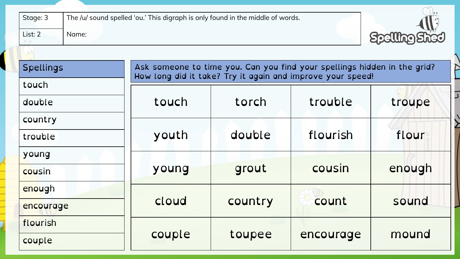| Stage: 3<br>List: 2<br>Name: | The /u/ sound spelled 'ou.' This digraph is only found in the middle of words. |                                                            |                                                                          | <b>Spelling Shed</b> |  |
|------------------------------|--------------------------------------------------------------------------------|------------------------------------------------------------|--------------------------------------------------------------------------|----------------------|--|
| <b>Spellings</b>             |                                                                                |                                                            | Ask someone to time you. Can you find your spellings hidden in the grid? |                      |  |
| touch                        |                                                                                | How long did it take? Try it again and improve your speed! |                                                                          |                      |  |
| double                       | touch                                                                          | torch                                                      | trouble                                                                  | troupe               |  |
| country                      |                                                                                |                                                            |                                                                          |                      |  |
| trouble                      | youth                                                                          | double                                                     | flourish                                                                 | flour                |  |
| young                        |                                                                                |                                                            |                                                                          |                      |  |
| cousin                       | young                                                                          | grout                                                      | cousin                                                                   | enough               |  |
| enough                       |                                                                                | country                                                    | count                                                                    | sound                |  |
| encourage                    | cloud                                                                          |                                                            |                                                                          |                      |  |
| flourish                     |                                                                                |                                                            |                                                                          |                      |  |
| couple                       | couple                                                                         | toupee                                                     | encourage                                                                | mound                |  |